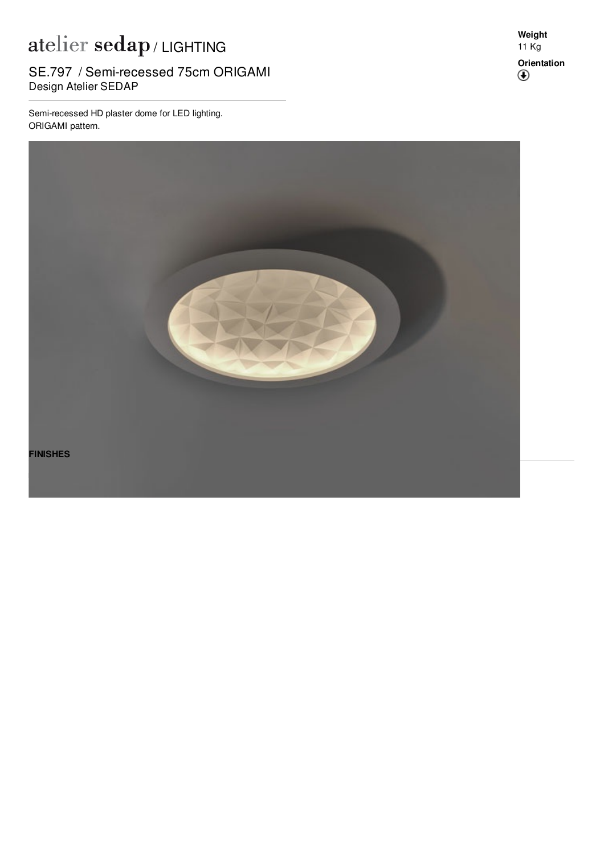## atelier sedap / LIGHTING

SE.797 / Semi-recessed 75cm ORIGAMI<br>Pesian Atalia: SEDAR Design Atelier SEDAP

Semi-recessed HD plaster dome for LED lighting. ORIGAMI pattern.

**Weight** 11 Kg **Orientation** $^\circledR$